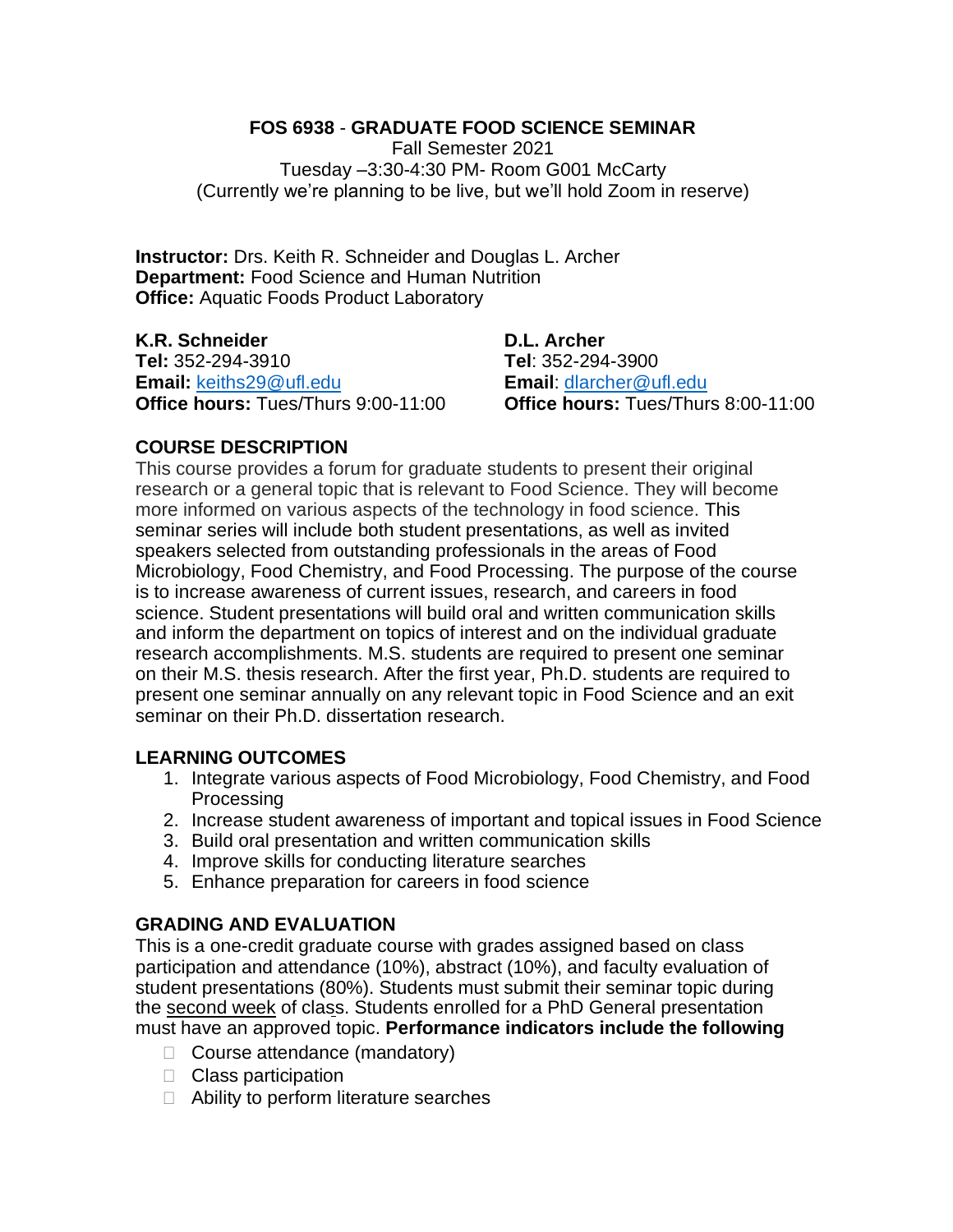## **FOS 6938** - **GRADUATE FOOD SCIENCE SEMINAR**

Fall Semester 2021 Tuesday –3:30-4:30 PM- Room G001 McCarty (Currently we're planning to be live, but we'll hold Zoom in reserve)

**Instructor:** Drs. Keith R. Schneider and Douglas L. Archer **Department:** Food Science and Human Nutrition **Office: Aquatic Foods Product Laboratory** 

**K.R. Schneider D.L. Archer Tel:** 352-294-3910 **Tel**: 352-294-3900 **Email:** <u>[keiths29@ufl.edu](mailto:keiths29@ufl.edu)</u> **Email**: <u>dlarcher@ufl.edu</u><br> **Office hours:** Tues/Thurs 9:00-11:00 **Office hours:** Tues/Thurs 8:00-11:00 **Office hours: Tues/Thurs 9:00-11:00** 

## **COURSE DESCRIPTION**

This course provides a forum for graduate students to present their original research or a general topic that is relevant to Food Science. They will become more informed on various aspects of the technology in food science. This seminar series will include both student presentations, as well as invited speakers selected from outstanding professionals in the areas of Food Microbiology, Food Chemistry, and Food Processing. The purpose of the course is to increase awareness of current issues, research, and careers in food science. Student presentations will build oral and written communication skills and inform the department on topics of interest and on the individual graduate research accomplishments. M.S. students are required to present one seminar on their M.S. thesis research. After the first year, Ph.D. students are required to present one seminar annually on any relevant topic in Food Science and an exit seminar on their Ph.D. dissertation research.

## **LEARNING OUTCOMES**

- 1. Integrate various aspects of Food Microbiology, Food Chemistry, and Food **Processing**
- 2. Increase student awareness of important and topical issues in Food Science
- 3. Build oral presentation and written communication skills
- 4. Improve skills for conducting literature searches
- 5. Enhance preparation for careers in food science

## **GRADING AND EVALUATION**

This is a one-credit graduate course with grades assigned based on class participation and attendance (10%), abstract (10%), and faculty evaluation of student presentations (80%). Students must submit their seminar topic during the second week of class. Students enrolled for a PhD General presentation must have an approved topic. **Performance indicators include the following**

- $\Box$  Course attendance (mandatory)
- Class participation
- $\Box$  Ability to perform literature searches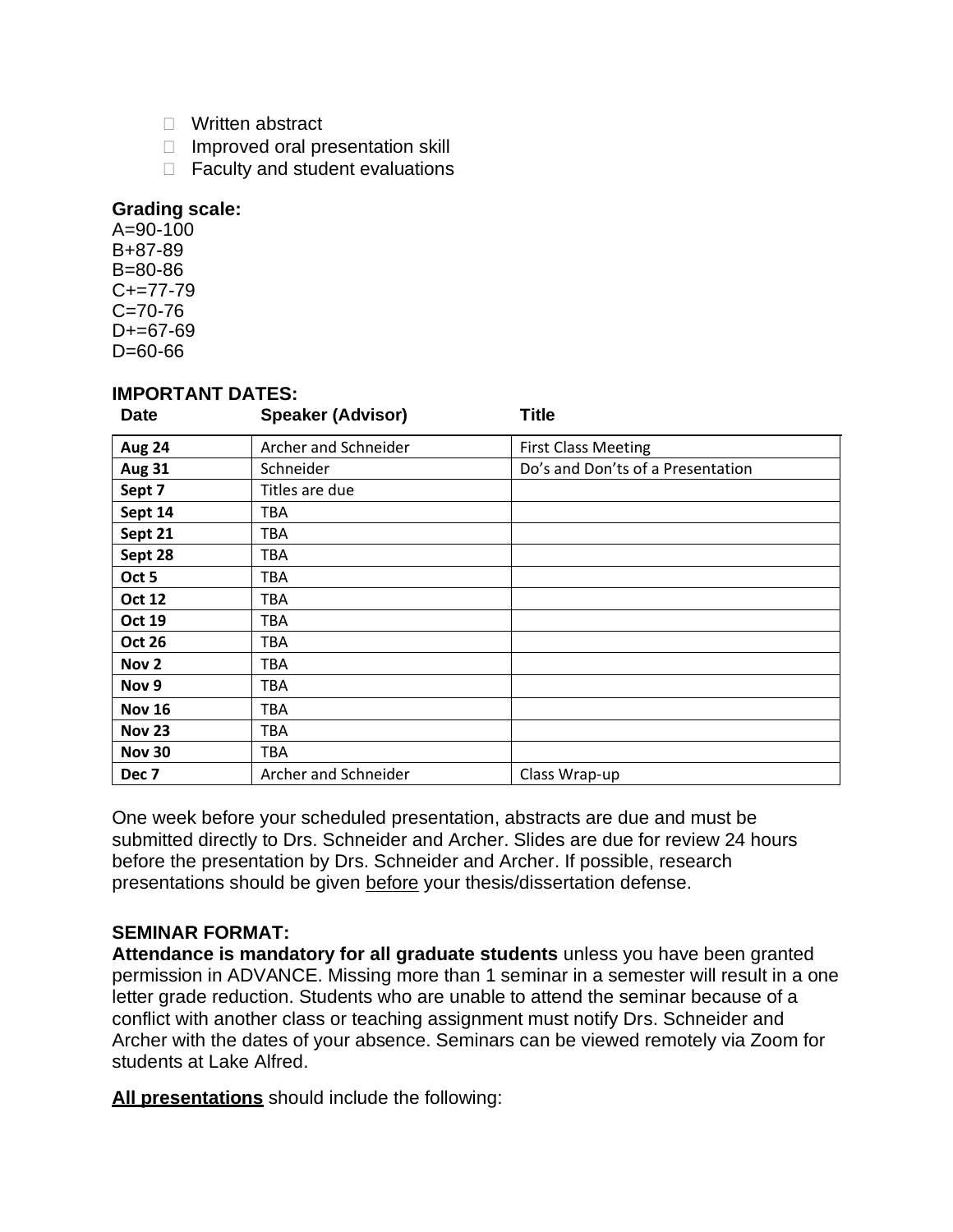- □ Written abstract
- $\Box$  Improved oral presentation skill
- $\Box$  Faculty and student evaluations

#### **Grading scale:**

 $A = 90 - 100$ B+87-89 B=80-86  $C+=77-79$  $C = 70 - 76$  $D+=67-69$ D=60-66

#### **IMPORTANT DATES:**

| <b>Date</b>      | <b>Speaker (Advisor)</b> | <b>Title</b>                      |
|------------------|--------------------------|-----------------------------------|
| <b>Aug 24</b>    | Archer and Schneider     | <b>First Class Meeting</b>        |
| <b>Aug 31</b>    | Schneider                | Do's and Don'ts of a Presentation |
| Sept 7           | Titles are due           |                                   |
| Sept 14          | TBA                      |                                   |
| Sept 21          | TBA                      |                                   |
| Sept 28          | TBA                      |                                   |
| Oct 5            | <b>TBA</b>               |                                   |
| <b>Oct 12</b>    | <b>TBA</b>               |                                   |
| <b>Oct 19</b>    | <b>TBA</b>               |                                   |
| <b>Oct 26</b>    | <b>TBA</b>               |                                   |
| Nov <sub>2</sub> | TBA                      |                                   |
| Nov 9            | TBA                      |                                   |
| <b>Nov 16</b>    | <b>TBA</b>               |                                   |
| <b>Nov 23</b>    | <b>TBA</b>               |                                   |
| <b>Nov 30</b>    | <b>TBA</b>               |                                   |
| Dec <sub>7</sub> | Archer and Schneider     | Class Wrap-up                     |

One week before your scheduled presentation, abstracts are due and must be submitted directly to Drs. Schneider and Archer. Slides are due for review 24 hours before the presentation by Drs. Schneider and Archer. If possible, research presentations should be given before your thesis/dissertation defense.

## **SEMINAR FORMAT:**

**Attendance is mandatory for all graduate students** unless you have been granted permission in ADVANCE. Missing more than 1 seminar in a semester will result in a one letter grade reduction. Students who are unable to attend the seminar because of a conflict with another class or teaching assignment must notify Drs. Schneider and Archer with the dates of your absence. Seminars can be viewed remotely via Zoom for students at Lake Alfred.

**All presentations** should include the following: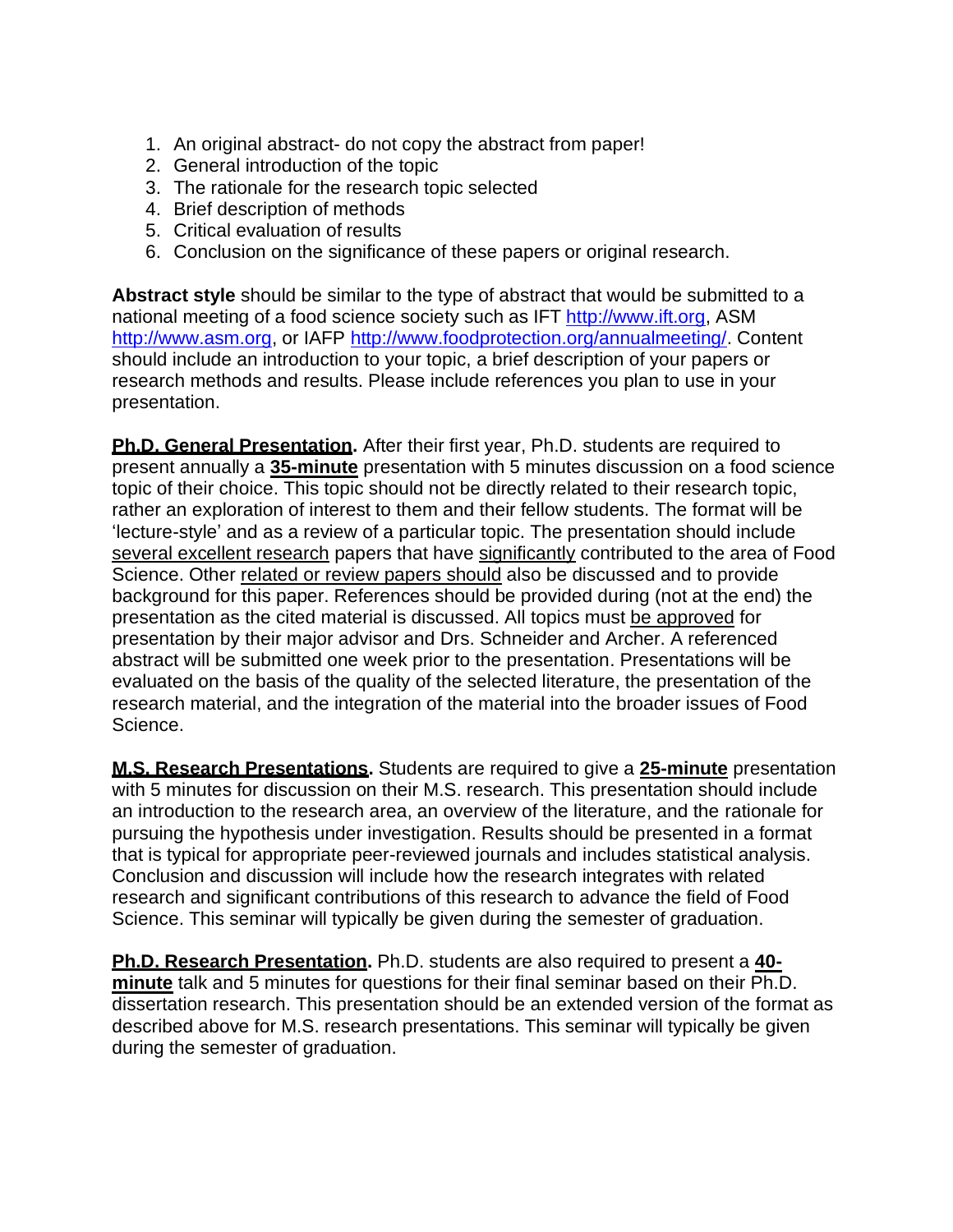- 1. An original abstract- do not copy the abstract from paper!
- 2. General introduction of the topic
- 3. The rationale for the research topic selected
- 4. Brief description of methods
- 5. Critical evaluation of results
- 6. Conclusion on the significance of these papers or original research.

**Abstract style** should be similar to the type of abstract that would be submitted to a national meeting of a food science society such as IFT [http://www.ift.org,](http://www.ift.org/) ASM [http://www.asm.org,](http://www.asm.org/) or IAFP [http://www.foodprotection.org/annualmeeting/.](http://www.foodprotection.org/annualmeeting/) Content should include an introduction to your topic, a brief description of your papers or research methods and results. Please include references you plan to use in your presentation.

**Ph.D. General Presentation.** After their first year, Ph.D. students are required to present annually a **35-minute** presentation with 5 minutes discussion on a food science topic of their choice. This topic should not be directly related to their research topic, rather an exploration of interest to them and their fellow students. The format will be 'lecture-style' and as a review of a particular topic. The presentation should include several excellent research papers that have significantly contributed to the area of Food Science. Other related or review papers should also be discussed and to provide background for this paper. References should be provided during (not at the end) the presentation as the cited material is discussed. All topics must be approved for presentation by their major advisor and Drs. Schneider and Archer. A referenced abstract will be submitted one week prior to the presentation. Presentations will be evaluated on the basis of the quality of the selected literature, the presentation of the research material, and the integration of the material into the broader issues of Food Science.

**M.S. Research Presentations.** Students are required to give a **25-minute** presentation with 5 minutes for discussion on their M.S. research. This presentation should include an introduction to the research area, an overview of the literature, and the rationale for pursuing the hypothesis under investigation. Results should be presented in a format that is typical for appropriate peer-reviewed journals and includes statistical analysis. Conclusion and discussion will include how the research integrates with related research and significant contributions of this research to advance the field of Food Science. This seminar will typically be given during the semester of graduation.

**Ph.D. Research Presentation.** Ph.D. students are also required to present a **40 minute** talk and 5 minutes for questions for their final seminar based on their Ph.D. dissertation research. This presentation should be an extended version of the format as described above for M.S. research presentations. This seminar will typically be given during the semester of graduation.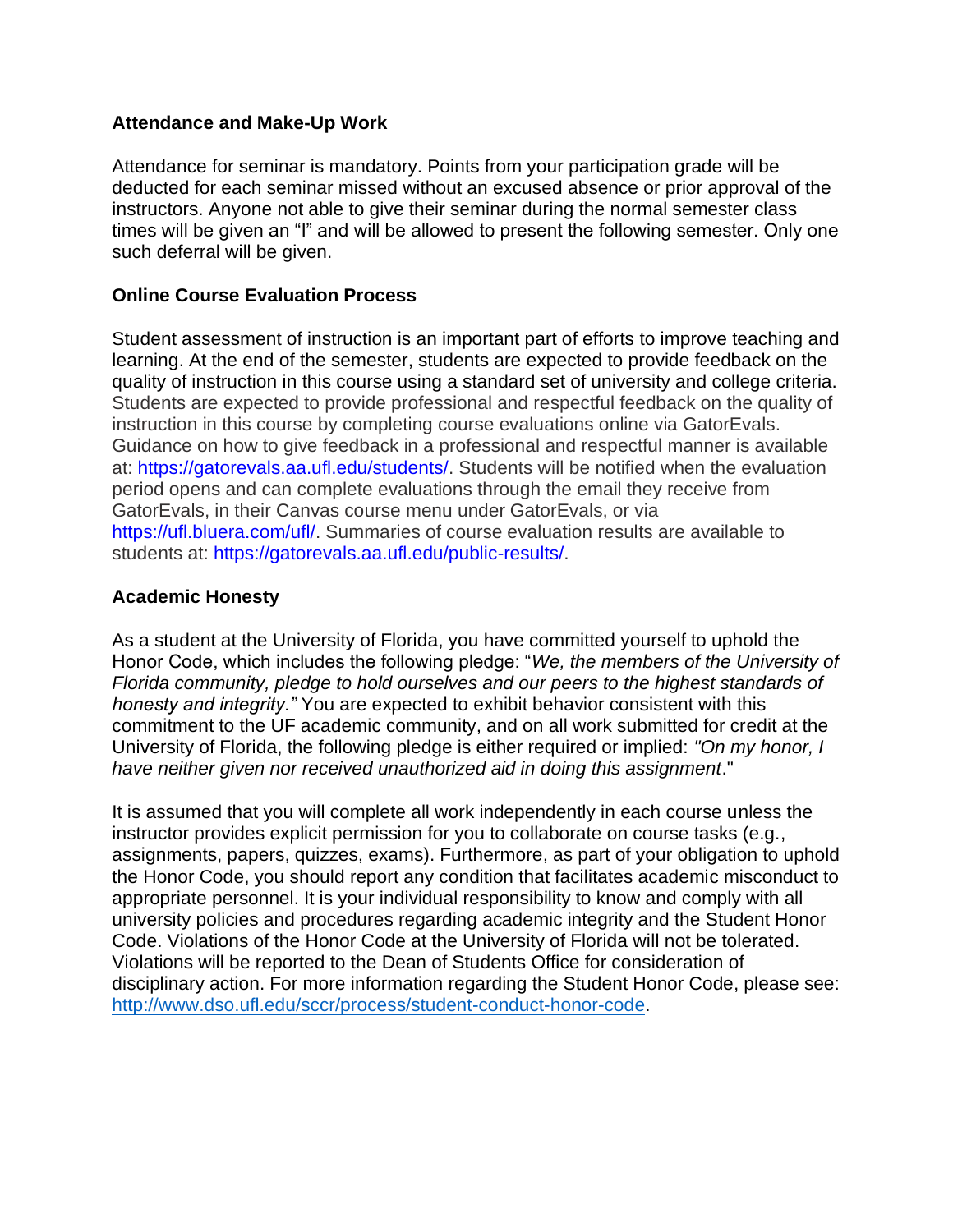## **Attendance and Make-Up Work**

Attendance for seminar is mandatory. Points from your participation grade will be deducted for each seminar missed without an excused absence or prior approval of the instructors. Anyone not able to give their seminar during the normal semester class times will be given an "I" and will be allowed to present the following semester. Only one such deferral will be given.

## **Online Course Evaluation Process**

Student assessment of instruction is an important part of efforts to improve teaching and learning. At the end of the semester, students are expected to provide feedback on the quality of instruction in this course using a standard set of university and college criteria. Students are expected to provide professional and respectful feedback on the quality of instruction in this course by completing course evaluations online via GatorEvals. Guidance on how to give feedback in a professional and respectful manner is available at: https://gatorevals.aa.ufl.edu/students/. Students will be notified when the evaluation period opens and can complete evaluations through the email they receive from GatorEvals, in their Canvas course menu under GatorEvals, or via https://ufl.bluera.com/ufl/. Summaries of course evaluation results are available to students at: https://gatorevals.aa.ufl.edu/public-results/.

## **Academic Honesty**

As a student at the University of Florida, you have committed yourself to uphold the Honor Code, which includes the following pledge: "*We, the members of the University of Florida community, pledge to hold ourselves and our peers to the highest standards of honesty and integrity."* You are expected to exhibit behavior consistent with this commitment to the UF academic community, and on all work submitted for credit at the University of Florida, the following pledge is either required or implied: *"On my honor, I have neither given nor received unauthorized aid in doing this assignment*."

It is assumed that you will complete all work independently in each course unless the instructor provides explicit permission for you to collaborate on course tasks (e.g., assignments, papers, quizzes, exams). Furthermore, as part of your obligation to uphold the Honor Code, you should report any condition that facilitates academic misconduct to appropriate personnel. It is your individual responsibility to know and comply with all university policies and procedures regarding academic integrity and the Student Honor Code. Violations of the Honor Code at the University of Florida will not be tolerated. Violations will be reported to the Dean of Students Office for consideration of disciplinary action. For more information regarding the Student Honor Code, please see: [http://www.dso.ufl.edu/sccr/process/student-conduct-honor-code.](http://www.dso.ufl.edu/sccr/process/student-conduct-honor-code)